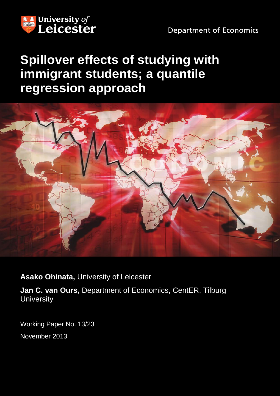

**Department of Economics** 

# **Spillover effects of studying with immigrant students; a quantile regression approach**



**Asako Ohinata,** University of Leicester

**Jan C. van Ours,** Department of Economics, CentER, Tilburg **University** 

Working Paper No. 13/23 November 2013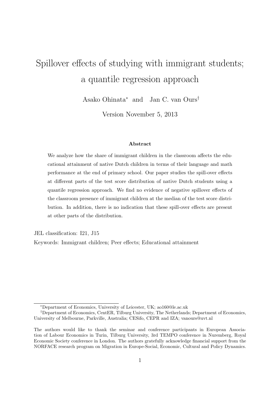# Spillover effects of studying with immigrant students; a quantile regression approach

Asako Ohinata<sup>∗</sup> and Jan C. van Ours†

Version November 5, 2013

#### Abstract

We analyze how the share of immigrant children in the classroom affects the educational attainment of native Dutch children in terms of their language and math performance at the end of primary school. Our paper studies the spill-over effects at different parts of the test score distribution of native Dutch students using a quantile regression approach. We find no evidence of negative spillover effects of the classroom presence of immigrant children at the median of the test score distribution. In addition, there is no indication that these spill-over effects are present at other parts of the distribution.

JEL classification: I21, J15

Keywords: Immigrant children; Peer effects; Educational attainment

<sup>∗</sup>Department of Economics, University of Leicester, UK; ao160@le.ac.uk

<sup>†</sup>Department of Economics, CentER, Tilburg University, The Netherlands; Department of Economics, University of Melbourne, Parkville, Australia; CESifo, CEPR and IZA; vanours@uvt.nl

The authors would like to thank the seminar and conference participants in European Association of Labour Economics in Turin, Tilburg University, 3rd TEMPO conference in Nuremberg, Royal Economic Society conference in London. The authors gratefully acknowledge financial support from the NORFACE research program on Migration in Europe-Social, Economic, Cultural and Policy Dynamics.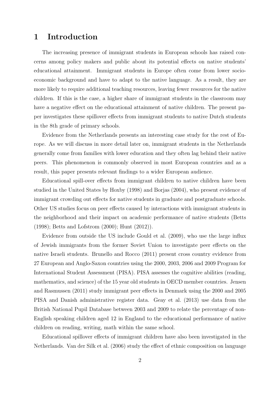## 1 Introduction

The increasing presence of immigrant students in European schools has raised concerns among policy makers and public about its potential effects on native students' educational attainment. Immigrant students in Europe often come from lower socioeconomic background and have to adapt to the native language. As a result, they are more likely to require additional teaching resources, leaving fewer resources for the native children. If this is the case, a higher share of immigrant students in the classroom may have a negative effect on the educational attainment of native children. The present paper investigates these spillover effects from immigrant students to native Dutch students in the 8th grade of primary schools.

Evidence from the Netherlands presents an interesting case study for the rest of Europe. As we will discuss in more detail later on, immigrant students in the Netherlands generally come from families with lower education and they often lag behind their native peers. This phenomenon is commonly observed in most European countries and as a result, this paper presents relevant findings to a wider European audience.

Educational spill-over effects from immigrant children to native children have been studied in the United States by Hoxby (1998) and Borjas (2004), who present evidence of immigrant crowding out effects for native students in graduate and postgraduate schools. Other US studies focus on peer effects caused by interactions with immigrant students in the neighborhood and their impact on academic performance of native students (Betts (1998); Betts and Lofstrom (2000); Hunt (2012)).

Evidence from outside the US include Gould et al. (2009), who use the large influx of Jewish immigrants from the former Soviet Union to investigate peer effects on the native Israeli students. Brunello and Rocco (2011) present cross country evidence from 27 European and Anglo-Saxon countries using the 2000, 2003, 2006 and 2009 Program for International Student Assessment (PISA). PISA assesses the cognitive abilities (reading, mathematics, and science) of the 15 year old students in OECD member countries. Jensen and Rasmussen (2011) study immigrant peer effects in Denmark using the 2000 and 2005 PISA and Danish administrative register data. Geay et al. (2013) use data from the British National Pupil Database between 2003 and 2009 to relate the percentage of non-English speaking children aged 12 in England to the educational performance of native children on reading, writing, math within the same school.

Educational spillover effects of immigrant children have also been investigated in the Netherlands. Van der Silk et al. (2006) study the effect of ethnic composition on language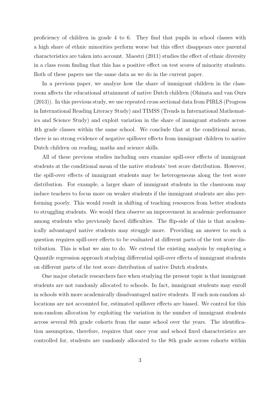proficiency of children in grade 4 to 6. They find that pupils in school classes with a high share of ethnic minorities perform worse but this effect disappears once parental characteristics are taken into account. Maestri (2011) studies the effect of ethnic diversity in a class room finding that this has a positive effect on test scores of minority students. Both of these papers use the same data as we do in the current paper.

In a previous paper, we analyze how the share of immigrant children in the classroom affects the educational attainment of native Dutch children (Ohinata and van Ours (2013)). In this previous study, we use repeated cross sectional data from PIRLS (Progress in International Reading Literacy Study) and TIMSS (Trends in International Mathematics and Science Study) and exploit variation in the share of immigrant students across 4th grade classes within the same school. We conclude that at the conditional mean, there is no strong evidence of negative spillover effects from immigrant children to native Dutch children on reading, maths and science skills.

All of these previous studies including ours examine spill-over effects of immigrant students at the conditional mean of the native students' test score distribution. However, the spill-over effects of immigrant students may be heterogeneous along the test score distribution. For example, a larger share of immigrant students in the classroom may induce teachers to focus more on weaker students if the immigrant students are also performing poorly. This would result in shifting of teaching resources from better students to struggling students. We would then observe an improvement in academic performance among students who previously faced difficulties. The flip-side of this is that academically advantaged native students may struggle more. Providing an answer to such a question requires spill-over effects to be evaluated at different parts of the test score distribution. This is what we aim to do. We extend the existing analysis by employing a Quantile regression approach studying differential spill-over effects of immigrant students on different parts of the test score distribution of native Dutch students.

One major obstacle researchers face when studying the present topic is that immigrant students are not randomly allocated to schools. In fact, immigrant students may enroll in schools with more academically disadvantaged native students. If such non-random allocations are not accounted for, estimated spillover effects are biased. We control for this non-random allocation by exploiting the variation in the number of immigrant students across several 8th grade cohorts from the same school over the years. The identification assumption, therefore, requires that once year and school fixed characteristics are controlled for, students are randomly allocated to the 8th grade across cohorts within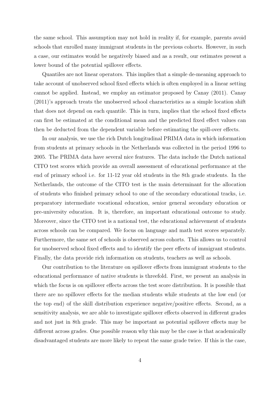the same school. This assumption may not hold in reality if, for example, parents avoid schools that enrolled many immigrant students in the previous cohorts. However, in such a case, our estimates would be negatively biased and as a result, our estimates present a lower bound of the potential spillover effects.

Quantiles are not linear operators. This implies that a simple de-meaning approach to take account of unobserved school fixed effects which is often employed in a linear setting cannot be applied. Instead, we employ an estimator proposed by Canay (2011). Canay (2011)'s approach treats the unobserved school characteristics as a simple location shift that does not depend on each quantile. This in turn, implies that the school fixed effects can first be estimated at the conditional mean and the predicted fixed effect values can then be deducted from the dependent variable before estimating the spill-over effects.

In our analysis, we use the rich Dutch longitudinal PRIMA data in which information from students at primary schools in the Netherlands was collected in the period 1996 to 2005. The PRIMA data have several nice features. The data include the Dutch national CITO test scores which provide an overall assessment of educational performance at the end of primary school i.e. for 11-12 year old students in the 8th grade students. In the Netherlands, the outcome of the CITO test is the main determinant for the allocation of students who finished primary school to one of the secondary educational tracks, i.e. preparatory intermediate vocational education, senior general secondary education or pre-university education. It is, therefore, an important educational outcome to study. Moreover, since the CITO test is a national test, the educational achievement of students across schools can be compared. We focus on language and math test scores separately. Furthermore, the same set of schools is observed across cohorts. This allows us to control for unobserved school fixed effects and to identify the peer effects of immigrant students. Finally, the data provide rich information on students, teachers as well as schools.

Our contribution to the literature on spillover effects from immigrant students to the educational performance of native students is threefold. First, we present an analysis in which the focus is on spillover effects across the test score distribution. It is possible that there are no spillover effects for the median students while students at the low end (or the top end) of the skill distribution experience negative/positive effects. Second, as a sensitivity analysis, we are able to investigate spillover effects observed in different grades and not just in 8th grade. This may be important as potential spillover effects may be different across grades. One possible reason why this may be the case is that academically disadvantaged students are more likely to repeat the same grade twice. If this is the case,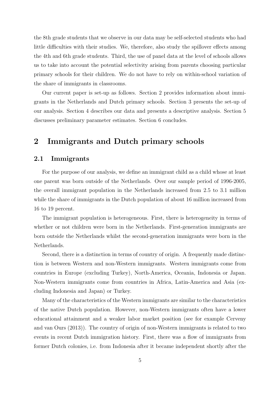the 8th grade students that we observe in our data may be self-selected students who had little difficulties with their studies. We, therefore, also study the spillover effects among the 4th and 6th grade students. Third, the use of panel data at the level of schools allows us to take into account the potential selectivity arising from parents choosing particular primary schools for their children. We do not have to rely on within-school variation of the share of immigrants in classrooms.

Our current paper is set-up as follows. Section 2 provides information about immigrants in the Netherlands and Dutch primary schools. Section 3 presents the set-up of our analysis. Section 4 describes our data and presents a descriptive analysis. Section 5 discusses preliminary parameter estimates. Section 6 concludes.

## 2 Immigrants and Dutch primary schools

#### 2.1 Immigrants

For the purpose of our analysis, we define an immigrant child as a child whose at least one parent was born outside of the Netherlands. Over our sample period of 1996-2005, the overall immigrant population in the Netherlands increased from 2.5 to 3.1 million while the share of immigrants in the Dutch population of about 16 million increased from 16 to 19 percent.

The immigrant population is heterogeneous. First, there is heterogeneity in terms of whether or not children were born in the Netherlands. First-generation immigrants are born outside the Netherlands whilst the second-generation immigrants were born in the Netherlands.

Second, there is a distinction in terms of country of origin. A frequently made distinction is between Western and non-Western immigrants. Western immigrants come from countries in Europe (excluding Turkey), North-America, Oceania, Indonesia or Japan. Non-Western immigrants come from countries in Africa, Latin-America and Asia (excluding Indonesia and Japan) or Turkey.

Many of the characteristics of the Western immigrants are similar to the characteristics of the native Dutch population. However, non-Western immigrants often have a lower educational attainment and a weaker labor market position (see for example Cerveny and van Ours (2013)). The country of origin of non-Western immigrants is related to two events in recent Dutch immigration history. First, there was a flow of immigrants from former Dutch colonies, i.e. from Indonesia after it became independent shortly after the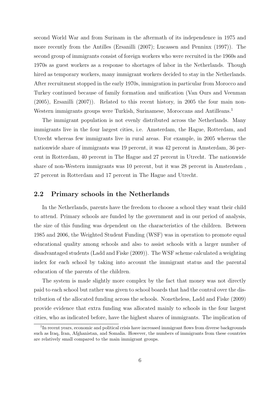second World War and from Surinam in the aftermath of its independence in 1975 and more recently from the Antilles (Ersanilli (2007); Lucassen and Penninx (1997)). The second group of immigrants consist of foreign workers who were recruited in the 1960s and 1970s as guest workers as a response to shortages of labor in the Netherlands. Though hired as temporary workers, many immigrant workers decided to stay in the Netherlands. After recruitment stopped in the early 1970s, immigration in particular from Morocco and Turkey continued because of family formation and unification (Van Ours and Veenman (2005), Ersanilli (2007)). Related to this recent history, in 2005 the four main non-Western immigrants groups were Turkish, Surinamese, Moroccans and Antilleans.<sup>1</sup>

The immigrant population is not evenly distributed across the Netherlands. Many immigrants live in the four largest cities, i.e. Amsterdam, the Hague, Rotterdam, and Utrecht whereas few immigrants live in rural areas. For example, in 2005 whereas the nationwide share of immigrants was 19 percent, it was 42 percent in Amsterdam, 36 percent in Rotterdam, 40 percent in The Hague and 27 percent in Utrecht. The nationwide share of non-Western immigrants was 10 percent, but it was 28 percent in Amsterdam , 27 percent in Rotterdam and 17 percent in The Hague and Utrecht.

### 2.2 Primary schools in the Netherlands

In the Netherlands, parents have the freedom to choose a school they want their child to attend. Primary schools are funded by the government and in our period of analysis, the size of this funding was dependent on the characteristics of the children. Between 1985 and 2006, the Weighted Student Funding (WSF) was in operation to promote equal educational quality among schools and also to assist schools with a larger number of disadvantaged students (Ladd and Fiske (2009)). The WSF scheme calculated a weighting index for each school by taking into account the immigrant status and the parental education of the parents of the children.

The system is made slightly more complex by the fact that money was not directly paid to each school but rather was given to school boards that had the control over the distribution of the allocated funding across the schools. Nonetheless, Ladd and Fiske (2009) provide evidence that extra funding was allocated mainly to schools in the four largest cities, who as indicated before, have the highest shares of immigrants. The implication of

<sup>&</sup>lt;sup>1</sup>In recent years, economic and political crisis have increased immigrant flows from diverse backgrounds such as Iraq, Iran, Afghanistan, and Somalia. However, the numbers of immigrants from these countries are relatively small compared to the main immigrant groups.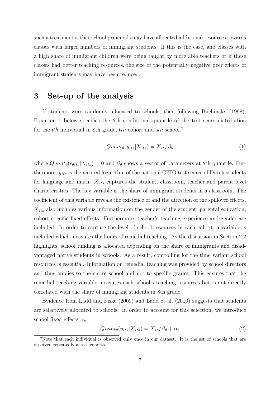such a treatment is that school principals may have allocated additional resources towards classes with larger numbers of immigrant students. If this is the case, and classes with a high share of immigrant children were being taught by more able teachers or if these classes had better teaching resources, the size of the potentially negative peer effects of immigrant students may have been reduced.

## 3 Set-up of the analysis

If students were randomly allocated to schools, then following Buchinsky (1998), Equation 1 below specifies the  $\theta$ th conditional quantile of the test score distribution for the ith individual in 8th grade, the cohort and  $sth$  school.<sup>2</sup>

$$
Quant_{\theta}(y_{its}|X_{its}) = X_{its}'\beta_{\theta}
$$
\n<sup>(1)</sup>

where  $Quant_{\theta}(\epsilon_{\theta its}|X_{its}) = 0$  and  $\beta_{\theta}$  shows a vector of parameters at  $\theta$ th quantile. Furthermore,  $y_{its}$  is the natural logarithm of the national CITO test scores of Dutch students for language and math.  $X_{its}$  captures the student, classroom, teacher and parent level characteristics. The key variable is the share of immigrant students in a classroom. The coefficient of this variable reveals the existence of and the direction of the spillover effects.  $X_{its}$  also includes various information on the gender of the student, parental education, cohort specific fixed effects. Furthermore, teacher's teaching experience and gender are included. In order to capture the level of school resources in each cohort, a variable is included which measures the hours of remedial teaching. As the discussion in Section 2.2 highlights, school funding is allocated depending on the share of immigrants and disadvantaged native students in schools. As a result, controlling for the time variant school resources is essential. Information on remedial teaching was provided by school directors and thus applies to the entire school and not to specific grades. This ensures that the remedial teaching variable measures each school's teaching resources but is not directly correlated with the share of immigrant students in 8th grade.

Evidence from Ladd and Fiske (2009) and Ladd et al. (2010) suggests that students are selectively allocated to schools. In order to account for this selection, we introduce school fixed effects  $\alpha_s$ :

$$
Quant_{\theta}(y_{its}|X_{its}) = X_{its}'\beta_{\theta} + \alpha_{s}
$$
\n(2)

<sup>&</sup>lt;sup>2</sup>Note that each individual is observed only once in our dataset. It is the set of schools that are observed repeatedly across cohorts.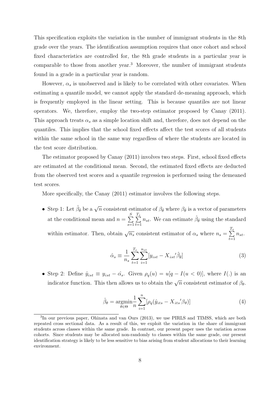This specification exploits the variation in the number of immigrant students in the 8th grade over the years. The identification assumption requires that once cohort and school fixed characteristics are controlled for, the 8th grade students in a particular year is comparable to those from another year.<sup>3</sup> Moreover, the number of immigrant students found in a grade in a particular year is random.

However,  $\alpha_s$  is unobserved and is likely to be correlated with other covariates. When estimating a quantile model, we cannot apply the standard de-meaning approach, which is frequently employed in the linear setting. This is because quantiles are not linear operators. We, therefore, employ the two-step estimator proposed by Canay (2011). This approach treats  $\alpha_s$  as a simple location shift and, therefore, does not depend on the quantiles. This implies that the school fixed effects affect the test scores of all students within the same school in the same way regardless of where the students are located in the test score distribution.

The estimator proposed by Canay (2011) involves two steps. First, school fixed effects are estimated at the conditional mean. Second, the estimated fixed effects are deducted from the observed test scores and a quantile regression is performed using the demeaned test scores.

More specifically, the Canay (2011) estimator involves the following steps.

• Step 1: Let  $\hat{\beta}_{\bar{\theta}}$  be a  $\sqrt{n}$  consistent estimator of  $\beta_{\bar{\theta}}$  where  $\beta_{\bar{\theta}}$  is a vector of parameters at the conditional mean and  $n = \sum_{n=1}^{S}$  $s=1$  $\sum_{i=1}^{T_s}$  $t=1$  $n_{st}$ . We can estimate  $\hat{\beta}_{\bar{\theta}}$  using the standard within estimator. Then, obtain  $\sqrt{n_s}$  consistent estimator of  $\alpha_s$  where  $n_s = \sum^{T_s}$  $t=1$  $n_{st}$ .

$$
\hat{\alpha}_s \equiv \frac{1}{n_s} \sum_{t=1}^{T_s} \sum_{i=1}^{n_{st}} [y_{ist} - X_{ist}'\hat{\beta}_{\bar{\theta}}]
$$
\n(3)

• Step 2: Define  $\hat{y}_{ist} \equiv y_{ist} - \hat{\alpha}_s$ . Given  $\rho_q(u) = u[q - I(u < 0)]$ , where  $I(.)$  is an indicator function. This then allows us to obtain the  $\sqrt{n}$  consistent estimator of  $\beta_{\theta}$ .

$$
\hat{\beta}_{\theta} = \underset{\theta \in \Theta}{\operatorname{argmin}} \frac{1}{n} \sum_{i=1}^{n} [\rho_q(\hat{y}_{its} - X_{its}'\beta_{\theta})]
$$
(4)

<sup>&</sup>lt;sup>3</sup>In our previous paper, Ohinata and van Ours (2013), we use PIRLS and TIMSS, which are both repeated cross sectional data. As a result of this, we exploit the variation in the share of immigrant students across classes within the same grade. In contrast, our present paper uses the variation across cohorts. Since students may be allocated non-randomly to classes within the same grade, our present identification strategy is likely to be less sensitive to bias arising from student allocations to their learning environment.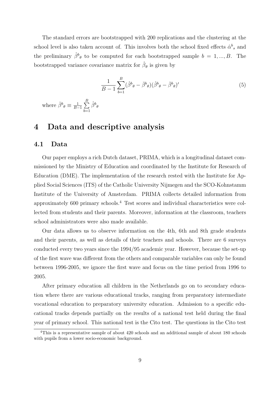The standard errors are bootstrapped with 200 replications and the clustering at the school level is also taken account of. This involves both the school fixed effects  $\hat{\alpha}^b_{s}$  and the preliminary  $\hat{\beta}^b_{\theta}$  to be computed for each bootstrapped sample  $b = 1, ..., B$ . The bootstrapped variance covariance matrix for  $\hat{\beta}_{\theta}$  is given by

$$
\frac{1}{B-1} \sum_{b=1}^{B} (\hat{\beta}^b_{\theta} - \bar{\beta}^b_{\theta})(\hat{\beta}^b_{\theta} - \bar{\beta}^b_{\theta})' \tag{5}
$$

where  $\bar{\beta}^b \theta \equiv \frac{1}{B}$  $\frac{1}{B-1}\sum_{i=1}^B$  $_{b=1}$  $\hat{\beta}^b{}_\theta$ 

## 4 Data and descriptive analysis

#### 4.1 Data

Our paper employs a rich Dutch dataset, PRIMA, which is a longitudinal dataset commissioned by the Ministry of Education and coordinated by the Institute for Research of Education (DME). The implementation of the research rested with the Institute for Applied Social Sciences (ITS) of the Catholic University Nijmegen and the SCO-Kohnstamm Institute of the University of Amsterdam. PRIMA collects detailed information from approximately 600 primary schools.<sup>4</sup> Test scores and individual characteristics were collected from students and their parents. Moreover, information at the classroom, teachers school administrators were also made available.

Our data allows us to observe information on the 4th, 6th and 8th grade students and their parents, as well as details of their teachers and schools. There are 6 surveys conducted every two years since the 1994/95 academic year. However, because the set-up of the first wave was different from the others and comparable variables can only be found between 1996-2005, we ignore the first wave and focus on the time period from 1996 to 2005.

After primary education all children in the Netherlands go on to secondary education where there are various educational tracks, ranging from preparatory intermediate vocational education to preparatory university education. Admission to a specific educational tracks depends partially on the results of a national test held during the final year of primary school. This national test is the Cito test. The questions in the Cito test

<sup>&</sup>lt;sup>4</sup>This is a representative sample of about 420 schools and an additional sample of about 180 schools with pupils from a lower socio-economic background.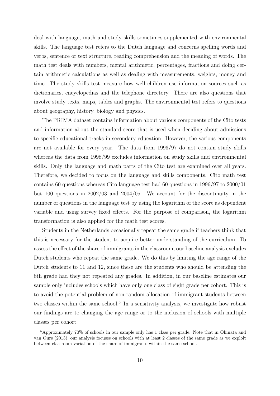deal with language, math and study skills sometimes supplemented with environmental skills. The language test refers to the Dutch language and concerns spelling words and verbs, sentence or text structure, reading comprehension and the meaning of words. The math test deals with numbers, mental arithmetic, percentages, fractions and doing certain arithmetic calculations as well as dealing with measurements, weights, money and time. The study skills test measure how well children use information sources such as dictionaries, encyclopedias and the telephone directory. There are also questions that involve study texts, maps, tables and graphs. The environmental test refers to questions about geography, history, biology and physics.

The PRIMA dataset contains information about various components of the Cito tests and information about the standard score that is used when deciding about admissions to specific educational tracks in secondary education. However, the various components are not available for every year. The data from 1996/97 do not contain study skills whereas the data from 1998/99 excludes information on study skills and environmental skills. Only the language and math parts of the Cito test are examined over all years. Therefore, we decided to focus on the language and skills components. Cito math test contains 60 questions whereas Cito language test had 60 questions in 1996/97 to 2000/01 but 100 questions in 2002/03 and 2004/05. We account for the discontinuity in the number of questions in the language test by using the logarithm of the score as dependent variable and using survey fixed effects. For the purpose of comparison, the logarithm transformation is also applied for the math test scores.

Students in the Netherlands occasionally repeat the same grade if teachers think that this is necessary for the student to acquire better understanding of the curriculum. To assess the effect of the share of immigrants in the classroom, our baseline analysis excludes Dutch students who repeat the same grade. We do this by limiting the age range of the Dutch students to 11 and 12, since these are the students who should be attending the 8th grade had they not repeated any grades. In addition, in our baseline estimates our sample only includes schools which have only one class of eight grade per cohort. This is to avoid the potential problem of non-random allocation of immigrant students between two classes within the same school.<sup>5</sup> In a sensitivity analysis, we investigate how robust our findings are to changing the age range or to the inclusion of schools with multiple classes per cohort.

<sup>5</sup>Approximately 70% of schools in our sample only has 1 class per grade. Note that in Ohinata and van Ours (2013), our analysis focuses on schools with at least 2 classes of the same grade as we exploit between classroom variation of the share of immigrants within the same school.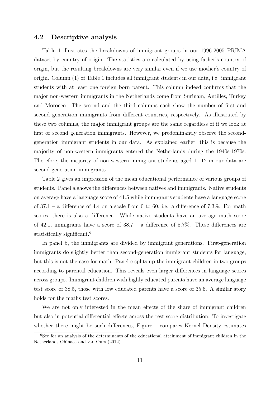#### 4.2 Descriptive analysis

Table 1 illustrates the breakdowns of immigrant groups in our 1996-2005 PRIMA dataset by country of origin. The statistics are calculated by using father's country of origin, but the resulting breakdowns are very similar even if we use mother's country of origin. Column (1) of Table 1 includes all immigrant students in our data, i.e. immigrant students with at least one foreign born parent. This column indeed confirms that the major non-western immigrants in the Netherlands come from Surinam, Antilles, Turkey and Morocco. The second and the third columns each show the number of first and second generation immigrants from different countries, respectively. As illustrated by these two columns, the major immigrant groups are the same regardless of if we look at first or second generation immigrants. However, we predominantly observe the secondgeneration immigrant students in our data. As explained earlier, this is because the majority of non-western immigrants entered the Netherlands during the 1940s-1970s. Therefore, the majority of non-western immigrant students aged 11-12 in our data are second generation immigrants.

Table 2 gives an impression of the mean educational performance of various groups of students. Panel a shows the differences between natives and immigrants. Native students on average have a language score of 41.5 while immigrants students have a language score of  $37.1$  – a difference of 4.4 on a scale from 0 to 60, i.e. a difference of 7.3%. For math scores, there is also a difference. While native students have an average math score of 42.1, immigrants have a score of  $38.7 - a$  difference of  $5.7\%$ . These differences are statistically significant.<sup>6</sup>

In panel b, the immigrants are divided by immigrant generations. First-generation immigrants do slightly better than second-generation immigrant students for language, but this is not the case for math. Panel c splits up the immigrant children in two groups according to parental education. This reveals even larger differences in language scores across groups. Immigrant children with highly educated parents have an average language test score of 38.5, those with low educated parents have a score of 35.6. A similar story holds for the maths test scores.

We are not only interested in the mean effects of the share of immigrant children but also in potential differential effects across the test score distribution. To investigate whether there might be such differences, Figure 1 compares Kernel Density estimates

<sup>6</sup>See for an analysis of the determinants of the educational attainment of immigrant children in the Netherlands Ohinata and van Ours (2012).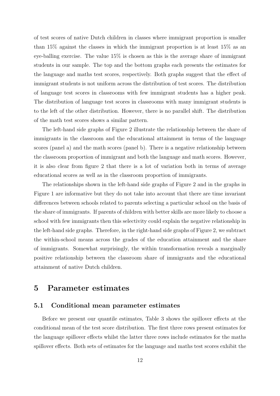of test scores of native Dutch children in classes where immigrant proportion is smaller than 15% against the classes in which the immigrant proportion is at least 15% as an eye-balling exercise. The value 15% is chosen as this is the average share of immigrant students in our sample. The top and the bottom graphs each presents the estimates for the language and maths test scores, respectively. Both graphs suggest that the effect of immigrant students is not uniform across the distribution of test scores. The distribution of language test scores in classrooms with few immigrant students has a higher peak. The distribution of language test scores in classrooms with many immigrant students is to the left of the other distribution. However, there is no parallel shift. The distribution of the math test scores shows a similar pattern.

The left-hand side graphs of Figure 2 illustrate the relationship between the share of immigrants in the classroom and the educational attainment in terms of the language scores (panel a) and the math scores (panel b). There is a negative relationship between the classroom proportion of immigrant and both the language and math scores. However, it is also clear from figure 2 that there is a lot of variation both in terms of average educational scores as well as in the classroom proportion of immigrants.

The relationships shown in the left-hand side graphs of Figure 2 and in the graphs in Figure 1 are informative but they do not take into account that there are time invariant differences between schools related to parents selecting a particular school on the basis of the share of immigrants. If parents of children with better skills are more likely to choose a school with few immigrants then this selectivity could explain the negative relationship in the left-hand side graphs. Therefore, in the right-hand side graphs of Figure 2, we subtract the within-school means across the grades of the education attainment and the share of immigrants. Somewhat surprisingly, the within transformation reveals a marginally positive relationship between the classroom share of immigrants and the educational attainment of native Dutch children.

## 5 Parameter estimates

#### 5.1 Conditional mean parameter estimates

Before we present our quantile estimates, Table 3 shows the spillover effects at the conditional mean of the test score distribution. The first three rows present estimates for the language spillover effects whilst the latter three rows include estimates for the maths spillover effects. Both sets of estimates for the language and maths test scores exhibit the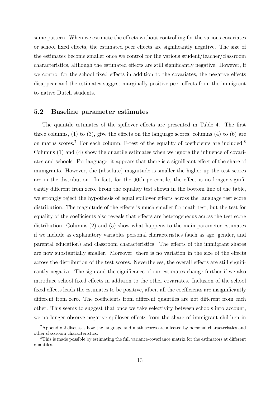same pattern. When we estimate the effects without controlling for the various covariates or school fixed effects, the estimated peer effects are significantly negative. The size of the estimates become smaller once we control for the various student/teacher/classroom characteristics, although the estimated effects are still significantly negative. However, if we control for the school fixed effects in addition to the covariates, the negative effects disappear and the estimates suggest marginally positive peer effects from the immigrant to native Dutch students.

#### 5.2 Baseline parameter estimates

The quantile estimates of the spillover effects are presented in Table 4. The first three columns,  $(1)$  to  $(3)$ , give the effects on the language scores, columns  $(4)$  to  $(6)$  are on maths scores.<sup>7</sup> For each column, F-test of the equality of coefficients are included.<sup>8</sup> Columns (1) and (4) show the quantile estimates when we ignore the influence of covariates and schools. For language, it appears that there is a significant effect of the share of immigrants. However, the (absolute) magnitude is smaller the higher up the test scores are in the distribution. In fact, for the 90th percentile, the effect is no longer significantly different from zero. From the equality test shown in the bottom line of the table, we strongly reject the hypothesis of equal spillover effects across the language test score distribution. The magnitude of the effects is much smaller for math test, but the test for equality of the coefficients also reveals that effects are heterogeneous across the test score distribution. Columns (2) and (5) show what happens to the main parameter estimates if we include as explanatory variables personal characteristics (such as age, gender, and parental education) and classroom characteristics. The effects of the immigrant shares are now substantially smaller. Moreover, there is no variation in the size of the effects across the distribution of the test scores. Nevertheless, the overall effects are still significantly negative. The sign and the significance of our estimates change further if we also introduce school fixed effects in addition to the other covariates. Inclusion of the school fixed effects leads the estimates to be positive, albeit all the coefficients are insignificantly different from zero. The coefficients from different quantiles are not different from each other. This seems to suggest that once we take selectivity between schools into account, we no longer observe negative spillover effects from the share of immigrant children in

<sup>7</sup>Appendix 2 discusses how the language and math scores are affected by personal characteristics and other classroom characteristics.

<sup>8</sup>This is made possible by estimating the full variance-covariance matrix for the estimators at different quantiles.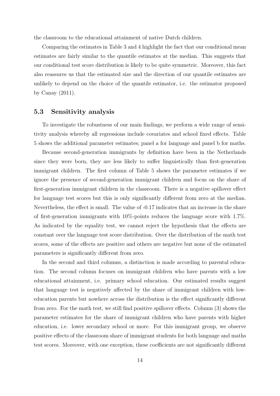the classroom to the educational attainment of native Dutch children.

Comparing the estimates in Table 3 and 4 highlight the fact that our conditional mean estimates are fairly similar to the quantile estimates at the median. This suggests that our conditional test score distribution is likely to be quite symmetric. Moreover, this fact also reassures us that the estimated size and the direction of our quantile estimates are unlikely to depend on the choice of the quantile estimator, i.e. the estimator proposed by Canay (2011).

#### 5.3 Sensitivity analysis

To investigate the robustness of our main findings, we perform a wide range of sensitivity analysis whereby all regressions include covariates and school fixed effects. Table 5 shows the additional parameter estimates; panel a for language and panel b for maths.

Because second-generation immigrants by definition have been in the Netherlands since they were born, they are less likely to suffer linguistically than first-generation immigrant children. The first column of Table 5 shows the parameter estimates if we ignore the presence of second-generation immigrant children and focus on the share of first-generation immigrant children in the classroom. There is a negative spillover effect for language test scores but this is only significantly different from zero at the median. Nevertheless, the effect is small. The value of -0.17 indicates that an increase in the share of first-generation immigrants with 10%-points reduces the language score with 1.7%. As indicated by the equality test, we cannot reject the hypothesis that the effects are constant over the language test score distribution. Over the distribution of the math test scores, some of the effects are positive and others are negative but none of the estimated parameters is significantly different from zero.

In the second and third columns, a distinction is made according to parental education. The second column focuses on immigrant children who have parents with a low educational attainment, i.e. primary school education. Our estimated results suggest that language test is negatively affected by the share of immigrant children with loweducation parents but nowhere across the distribution is the effect significantly different from zero. For the math test, we still find positive spillover effects. Column (3) shows the parameter estimates for the share of immigrant children who have parents with higher education, i.e. lower secondary school or more. For this immigrant group, we observe positive effects of the classroom share of immigrant students for both language and maths test scores. Moreover, with one exception, these coefficients are not significantly different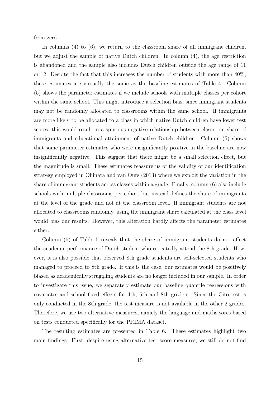from zero.

In columns (4) to (6), we return to the classroom share of all immigrant children, but we adjust the sample of native Dutch children. In column (4), the age restriction is abandoned and the sample also includes Dutch children outside the age range of 11 or 12. Despite the fact that this increases the number of students with more than  $40\%$ , these estimates are virtually the same as the baseline estimates of Table 4. Column (5) shows the parameter estimates if we include schools with multiple classes per cohort within the same school. This might introduce a selection bias, since immigrant students may not be randomly allocated to classrooms within the same school. If immigrants are more likely to be allocated to a class in which native Dutch children have lower test scores, this would result in a spurious negative relationship between classroom share of immigrants and educational attainment of native Dutch children. Column (5) shows that some parameter estimates who were insignificantly positive in the baseline are now insignificantly negative. This suggest that there might be a small selection effect, but the magnitude is small. These estimates reassure us of the validity of our identification strategy employed in Ohinata and van Ours (2013) where we exploit the variation in the share of immigrant students across classes within a grade. Finally, column (6) also include schools with multiple classrooms per cohort but instead defines the share of immigrants at the level of the grade and not at the classroom level. If immigrant students are not allocated to classrooms randomly, using the immigrant share calculated at the class level would bias our results. However, this alteration hardly affects the parameter estimates either.

Column (5) of Table 5 reveals that the share of immigrant students do not affect the academic performance of Dutch student who repeatedly attend the 8th grade. However, it is also possible that observed 8th grade students are self-selected students who managed to proceed to 8th grade. If this is the case, our estimates would be positively biased as academically struggling students are no longer included in our sample. In order to investigate this issue, we separately estimate our baseline quantile regressions with covariates and school fixed effects for 4th, 6th and 8th graders. Since the Cito test is only conducted in the 8th grade, the test measure is not available in the other 2 grades. Therefore, we use two alternative measures, namely the language and maths sores based on tests conducted specifically for the PRIMA dataset.

The resulting estimates are presented in Table 6. These estimates highlight two main findings. First, despite using alternative test score measures, we still do not find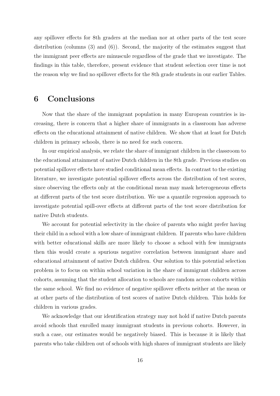any spillover effects for 8th graders at the median nor at other parts of the test score distribution (columns (3) and (6)). Second, the majority of the estimates suggest that the immigrant peer effects are minuscule regardless of the grade that we investigate. The findings in this table, therefore, present evidence that student selection over time is not the reason why we find no spillover effects for the 8th grade students in our earlier Tables.

## 6 Conclusions

Now that the share of the immigrant population in many European countries is increasing, there is concern that a higher share of immigrants in a classroom has adverse effects on the educational attainment of native children. We show that at least for Dutch children in primary schools, there is no need for such concern.

In our empirical analysis, we relate the share of immigrant children in the classroom to the educational attainment of native Dutch children in the 8th grade. Previous studies on potential spillover effects have studied conditional mean effects. In contrast to the existing literature, we investigate potential spillover effects across the distribution of test scores, since observing the effects only at the conditional mean may mask heterogeneous effects at different parts of the test score distribution. We use a quantile regression approach to investigate potential spill-over effects at different parts of the test score distribution for native Dutch students.

We account for potential selectivity in the choice of parents who might prefer having their child in a school with a low share of immigrant children. If parents who have children with better educational skills are more likely to choose a school with few immigrants then this would create a spurious negative correlation between immigrant share and educational attainment of native Dutch children. Our solution to this potential selection problem is to focus on within school variation in the share of immigrant children across cohorts, assuming that the student allocation to schools are random across cohorts within the same school. We find no evidence of negative spillover effects neither at the mean or at other parts of the distribution of test scores of native Dutch children. This holds for children in various grades.

We acknowledge that our identification strategy may not hold if native Dutch parents avoid schools that enrolled many immigrant students in previous cohorts. However, in such a case, our estimates would be negatively biased. This is because it is likely that parents who take children out of schools with high shares of immigrant students are likely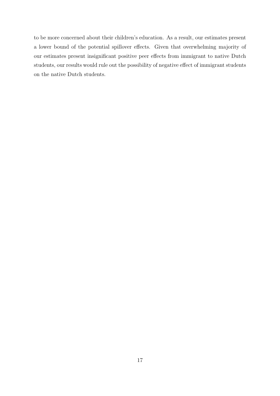to be more concerned about their children's education. As a result, our estimates present a lower bound of the potential spillover effects. Given that overwhelming majority of our estimates present insignificant positive peer effects from immigrant to native Dutch students, our results would rule out the possibility of negative effect of immigrant students on the native Dutch students.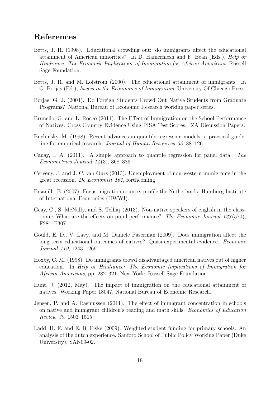## References

- Betts, J. R. (1998). Educational crowding out: do immigrants affect the educational attainment of American minorities? In D. Hamermesh and F. Bean (Eds.), Help or Hindrance: The Economic Implications of Immigration for African Americans. Russell Sage Foundation.
- Betts, J. R. and M. Lofstrom (2000). The educational attainment of immigrants. In G. Borjas (Ed.), Issues in the Economics of Immigration. University Of Chicago Press.
- Borjas, G. J. (2004). Do Foreign Students Crowd Out Native Students from Graduate Programs? National Bureau of Economic Research working paper series.
- Brunello, G. and L. Rocco (2011). The Effect of Immigration on the School Performance of Natives: Cross Country Evidence Using PISA Test Scores. IZA Discussion Papers.
- Buchinsky, M. (1998). Recent advances in quantile regression models: a practical guideline for empirical research. Journal of Human Resources 33, 88–126.
- Canay, I. A. (2011). A simple approach to quantile regression for panel data. The Econometrics Journal  $14(3)$ , 368–386.
- Cerveny, J. and J. C. van Ours (2013). Unemployment of non-western immigrants in the great recession. De Economist 161, forthcoming.
- Ersanilli, E. (2007). Focus migration-country profile:the Netherlands. Hamburg Institute of International Economics (HWWI).
- Geay, C., S. McNally, and S. Telhaj (2013). Non-native speakers of english in the classroom: What are the effects on pupil performance? The Economic Journal 123(570), F281–F307.
- Gould, E. D., V. Lavy, and M. Daniele Paserman (2009). Does immigration affect the long-term educational outcomes of natives? Quasi-experimental evidence. Economic Journal 119, 1243–1269.
- Hoxby, C. M. (1998). Do immigrants crowd disadvantaged american natives out of higher education. In Help or Hindrance: The Economic Implications of Immigration for African Americans, pp. 282–321. New York: Russell Sage Foundation.
- Hunt, J. (2012, May). The impact of immigration on the educational attainment of natives. Working Paper 18047, National Bureau of Economic Research.
- Jensen, P. and A. Rasmussen (2011). The effect of immigrant concentration in schools on native and immigrant children's reading and math skills. Economics of Education Review 30, 1503–1515.
- Ladd, H. F. and E. B. Fiske (2009). Weighted student funding for primary schools: An analysis of the dutch experience. Sanford School of Public Policy Working Paper (Duke University), SAN09-02.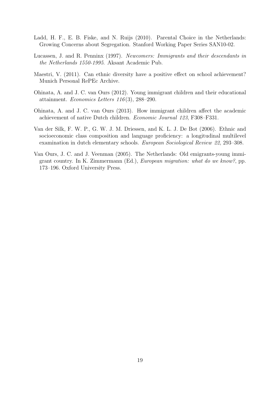- Ladd, H. F., E. B. Fiske, and N. Ruijs (2010). Parental Choice in the Netherlands: Growing Concerns about Segregation. Stanford Working Paper Series SAN10-02.
- Lucassen, J. and R. Penninx (1997). Newcomers: Immigrants and their descendants in the Netherlands 1550-1995. Aksant Academic Pub.
- Maestri, V. (2011). Can ethnic diversity have a positive effect on school achievement? Munich Personal RePEc Archive.
- Ohinata, A. and J. C. van Ours (2012). Young immigrant children and their educational attainment. Economics Letters  $116(3)$ , 288-290.
- Ohinata, A. and J. C. van Ours (2013). How immigrant children affect the academic achievement of native Dutch children. Economic Journal 123, F308–F331.
- Van der Silk, F. W. P., G. W. J. M. Driessen, and K. L. J. De Bot (2006). Ethnic and socioeconomic class composition and language proficiency: a longitudinal multilevel examination in dutch elementary schools. European Sociological Review 22, 293–308.
- Van Ours, J. C. and J. Veenman (2005). The Netherlands: Old emigrants-young immigrant country. In K. Zimmermann (Ed.), European migration: what do we know?, pp. 173–196. Oxford University Press.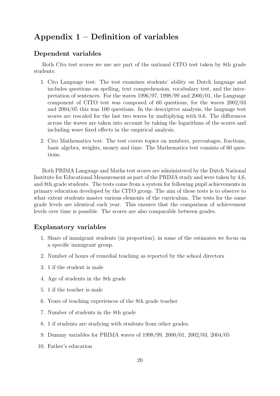## Appendix 1 – Definition of variables

## Dependent variables

Both Cito test scores we use are part of the national CITO test taken by 8th grade students:

- 1. Cito Language test: The test examines students' ability on Dutch language and includes questions on spelling, text comprehension, vocabulary test, and the interpretation of sentences. For the waves 1996/97, 1998/99 and 2000/01, the Language component of CITO test was composed of 60 questions; for the waves 2002/03 and 2004/05 this was 100 questions. In the descriptive analysis, the language test scores are rescaled for the last two waves by multiplying with 0.6. The differences across the waves are taken into account by taking the logarithms of the scores and including wave fixed effects in the empirical analysis.
- 2. Cito Mathematics test: The test covers topics on numbers, percentages, fractions, basic algebra, weights, money and time. The Mathematics test consists of 60 questions.

Both PRIMA Language and Maths test scores are administered by the Dutch National Institute for Educational Measurement as part of the PRIMA study and were taken by 4,6, and 8th grade students. The tests come from a system for following pupil achievements in primary education developed by the CITO group. The aim of these tests is to observe to what extent students master various elements of the curriculum. The tests for the same grade levels are identical each year. This ensures that the comparison of achievement levels over time is possible. The scores are also comparable between grades.

### Explanatory variables

- 1. Share of immigrant students (in proportion); in some of the estimates we focus on a specific immigrant group.
- 2. Number of hours of remedial teaching as reported by the school directors
- 3. 1 if the student is male
- 4. Age of students in the 8th grade
- 5. 1 if the teacher is male
- 6. Years of teaching experiences of the 8th grade teacher
- 7. Number of students in the 8th grade
- 8. 1 if students are studying with students from other grades.
- 9. Dummy variables for PRIMA waves of 1998/99, 2000/01, 2002/03, 2004/05
- 10. Father's education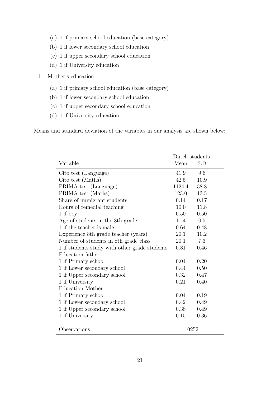- (a) 1 if primary school education (base category)
- (b) 1 if lower secondary school education
- (c) 1 if upper secondary school education
- (d) 1 if University education
- 11. Mother's education
	- (a) 1 if primary school education (base category)
	- (b) 1 if lower secondary school education
	- (c) 1 if upper secondary school education
	- (d) 1 if University education

Means and standard deviation of the variables in our analysis are shown below:

|                                               | Dutch students |      |  |
|-----------------------------------------------|----------------|------|--|
| Variable                                      | Mean           | S.D  |  |
| Cito test (Language)                          | 41.9           | 9.6  |  |
| Cito test (Maths)                             | 42.5           | 10.9 |  |
| PRIMA test (Language)                         | 1124.4         | 38.8 |  |
| PRIMA test (Maths)                            | 123.0          | 13.5 |  |
| Share of immigrant students                   | 0.14           | 0.17 |  |
| Hours of remedial teaching                    | 10.0           | 11.8 |  |
| 1 if boy                                      | 0.50           | 0.50 |  |
| Age of students in the 8th grade              | 11.4           | 0.5  |  |
| 1 if the teacher is male                      | 0.64           | 0.48 |  |
| Experience 8th grade teacher (years)          | 20.1           | 10.2 |  |
| Number of students in 8th grade class         | 20.1           | 7.3  |  |
| 1 if students study with other grade students | 0.31           | 0.46 |  |
| Education father                              |                |      |  |
| 1 if Primary school                           | 0.04           | 0.20 |  |
| 1 if Lower secondary school                   | 0.44           | 0.50 |  |
| 1 if Upper secondary school                   | 0.32           | 0.47 |  |
| 1 if University                               | 0.21           | 0.40 |  |
| <b>Education Mother</b>                       |                |      |  |
| 1 if Primary school                           | 0.04           | 0.19 |  |
| 1 if Lower secondary school                   | 0.42           | 0.49 |  |
| 1 if Upper secondary school                   | 0.38           | 0.49 |  |
| 1 if University                               | 0.15           | 0.36 |  |
| Observations<br>10252                         |                |      |  |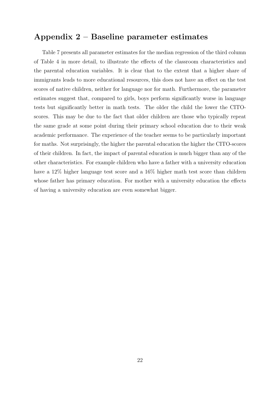## Appendix 2 – Baseline parameter estimates

Table 7 presents all parameter estimates for the median regression of the third column of Table 4 in more detail, to illustrate the effects of the classroom characteristics and the parental education variables. It is clear that to the extent that a higher share of immigrants leads to more educational resources, this does not have an effect on the test scores of native children, neither for language nor for math. Furthermore, the parameter estimates suggest that, compared to girls, boys perform significantly worse in language tests but significantly better in math tests. The older the child the lower the CITOscores. This may be due to the fact that older children are those who typically repeat the same grade at some point during their primary school education due to their weak academic performance. The experience of the teacher seems to be particularly important for maths. Not surprisingly, the higher the parental education the higher the CITO-scores of their children. In fact, the impact of parental education is much bigger than any of the other characteristics. For example children who have a father with a university education have a 12% higher language test score and a 16% higher math test score than children whose father has primary education. For mother with a university education the effects of having a university education are even somewhat bigger.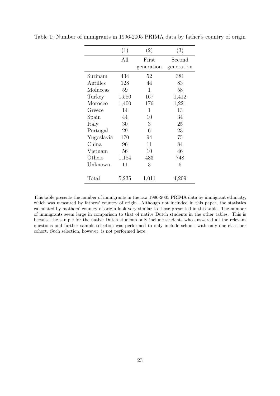|                | (1)   | $\left( 2\right)$ | (3)        |
|----------------|-------|-------------------|------------|
|                | All   | First             | Second     |
|                |       | generation        | generation |
| Surinam        | 434   | 52                | 381        |
| Antilles       | 128   | 44                | 83         |
| Moluccas       | 59    | 1                 | 58         |
| Turkey         | 1,580 | 167               | 1,412      |
| Morocco        | 1,400 | 176               | 1,221      |
| Greece         | 14    | 1                 | 13         |
| Spain          | 44    | 10                | 34         |
| Italy          | 30    | 3                 | 25         |
| Portugal       | 29    | 6                 | 23         |
| Yugoslavia     | 170   | 94                | 75         |
| China          | 96    | 11                | 84         |
| Vietnam        | 56    | 10                | 46         |
| Others         | 1,184 | 433               | 748        |
| Unknown        | 11    | 3                 | 6          |
| $\text{Total}$ | 5,235 | 1,011             | 4,209      |

Table 1: Number of immigrants in 1996-2005 PRIMA data by father's country of origin

This table presents the number of immigrants in the raw 1996-2005 PRIMA data by immigrant ethnicity, which was measured by fathers' country of origin. Although not included in this paper, the statistics calculated by mothers' country of origin look very similar to those presented in this table. The number of immigrants seem large in comparison to that of native Dutch students in the other tables. This is because the sample for the native Dutch students only include students who answered all the relevant questions and further sample selection was performed to only include schools with only one class per cohort. Such selection, however, is not performed here.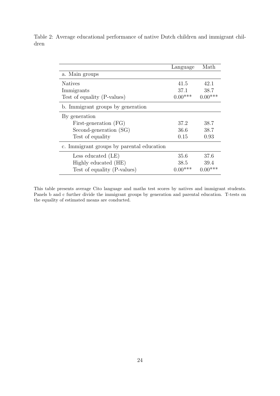|                                           | Language  | Math      |
|-------------------------------------------|-----------|-----------|
| a. Main groups                            |           |           |
| <b>Natives</b>                            | 41.5      | 42.1      |
| Immigrants                                | 37.1      | 38.7      |
| Test of equality (P-values)               | $0.00***$ | $0.00***$ |
| b. Immigrant groups by generation         |           |           |
| By generation                             |           |           |
| First-generation (FG)                     | 37.2      | 38.7      |
| Second-generation (SG)                    | 36.6      | 38.7      |
| Test of equality                          | 0.15      | 0.93      |
| c. Immigrant groups by parental education |           |           |
| Less educated (LE)                        | 35.6      | 37.6      |
| Highly educated (HE)                      | 38.5      | 39.4      |
| Test of equality (P-values)               | $0.00***$ | $0.00***$ |

Table 2: Average educational performance of native Dutch children and immigrant children

This table presents average Cito language and maths test scores by natives and immigrant students. Panels b and c further divide the immigrant groups by generation and parental education. T-tests on the equality of estimated means are conducted.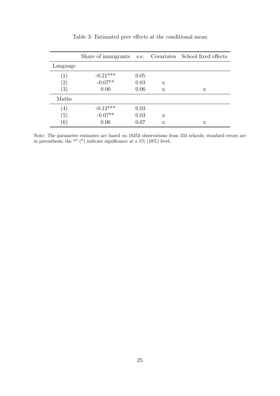|                   | Share of immigrants s.e. Covariates School fixed effects |      |             |   |
|-------------------|----------------------------------------------------------|------|-------------|---|
| Language          |                                                          |      |             |   |
| (1)               | $-0.21***$                                               | 0.05 |             |   |
| $\left( 2\right)$ | $-0.07**$                                                | 0.03 | X           |   |
| (3)               | 0.06                                                     | 0.06 | X           | X |
| Maths             |                                                          |      |             |   |
| (4)               | $-0.13***$<br>$-0.07**$                                  | 0.03 |             |   |
| (5)               |                                                          | 0.03 | X           |   |
| (6)               | 0.06                                                     | 0.07 | $\mathbf x$ | X |

Table 3: Estimated peer effects at the conditional mean

Note: The parameter estimates are based on 10252 observations from 334 schools; standard errors are in parenthesis; the \*\*  $(*)$  indicate significance at a 5% (10%) level.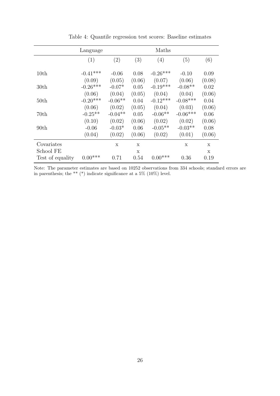|                  | Language   |           |             | Maths      |             |        |
|------------------|------------|-----------|-------------|------------|-------------|--------|
|                  | (1)        | (2)       | (3)         | (4)        | (5)         | (6)    |
| 10th             | $-0.41***$ | $-0.06$   | 0.08        | $-0.26***$ | $-0.10$     | 0.09   |
|                  | (0.09)     | (0.05)    | (0.06)      | (0.07)     | (0.06)      | (0.08) |
| 30 <sub>th</sub> | $-0.26***$ | $-0.07*$  | 0.05        | $-0.19***$ | $-0.08**$   | 0.02   |
|                  | (0.06)     | (0.04)    | (0.05)      | (0.04)     | (0.04)      | (0.06) |
| 50th             | $-0.20***$ | $-0.06**$ | 0.04        | $-0.12***$ | $-0.08***$  | 0.04   |
|                  | (0.06)     | (0.02)    | (0.05)      | (0.04)     | (0.03)      | (0.06) |
| 70th             | $-0.25**$  | $-0.04**$ | 0.05        | $-0.06**$  | $-0.06***$  | 0.06   |
|                  | (0.10)     | (0.02)    | (0.06)      | (0.02)     | (0.02)      | (0.06) |
| 90th             | $-0.06$    | $-0.03*$  | 0.06        | $-0.05**$  | $-0.03**$   | 0.08   |
|                  | (0.04)     | (0.02)    | (0.06)      | (0.02)     | (0.01)      | (0.06) |
| Covariates       |            | X         | $\mathbf x$ |            | $\mathbf x$ | X      |
| School FE        |            |           | X           |            |             | X      |
| Test of equality | $0.00***$  | 0.71      | 0.54        | $0.00***$  | 0.36        | 0.19   |

Table 4: Quantile regression test scores: Baseline estimates

Note: The parameter estimates are based on 10252 observations from 334 schools; standard errors are in parenthesis; the \*\* (\*) indicate significance at a 5% (10%) level.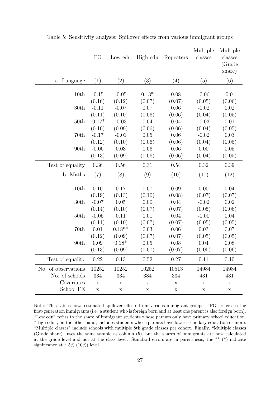|                     | FG          | Low edu     | High edu    | Repeaters   | Multiple<br>classes | Multiple<br>classes<br>(Grade<br>share) |
|---------------------|-------------|-------------|-------------|-------------|---------------------|-----------------------------------------|
| a. Language         | (1)         | (2)         | (3)         | (4)         | (5)                 | (6)                                     |
|                     |             |             |             |             |                     |                                         |
| 10th                | $-0.15$     | $-0.05$     | $0.13*$     | 0.08        | $-0.06$             | $-0.01$                                 |
|                     | (0.16)      | (0.12)      | (0.07)      | (0.07)      | (0.05)              | (0.06)                                  |
| 30 <sub>th</sub>    | $-0.11$     | $-0.07$     | 0.07        | 0.06        | $-0.02$             | 0.02                                    |
|                     | (0.11)      | (0.10)      | (0.06)      | (0.06)      | (0.04)              | (0.05)                                  |
| 50th                | $-0.17*$    | $-0.03$     | 0.04        | 0.04        | $-0.03$             | 0.01                                    |
|                     | (0.10)      | (0.09)      | (0.06)      | (0.06)      | (0.04)              | (0.05)                                  |
| 70th                | $-0.17$     | $-0.01$     | 0.05        | 0.06        | $-0.02$             | 0.03                                    |
|                     | (0.12)      | (0.10)      | (0.06)      | (0.06)      | (0.04)              | (0.05)                                  |
| 90th                | $-0.06$     | 0.03        | 0.06        | 0.06        | 0.00                | 0.05                                    |
|                     | (0.13)      | (0.09)      | (0.06)      | (0.06)      | (0.04)              | (0.05)                                  |
| Test of equality    | 0.36        | 0.56        | 0.31        | 0.54        | 0.32                | 0.39                                    |
| b. Maths            | (7)         | (8)         | (9)         | (10)        | (11)                | (12)                                    |
|                     |             |             |             |             |                     |                                         |
| 10th                | 0.10        | 0.17        | 0.07        | 0.09        | 0.00                | 0.04                                    |
|                     | (0.19)      | (0.13)      | (0.10)      | (0.08)      | (0.07)              | (0.07)                                  |
| 30 <sub>th</sub>    | $-0.07$     | 0.05        | 0.00        | 0.04        | $-0.02$             | 0.02                                    |
|                     | (0.14)      | (0.10)      | (0.07)      | (0.07)      | (0.05)              | (0.06)                                  |
| 50th                | $-0.05$     | 0.11        | 0.01        | 0.04        | $-0.00$             | 0.04                                    |
|                     | (0.11)      | (0.10)      | (0.07)      | (0.07)      | (0.05)              | (0.05)                                  |
| 70th                | 0.01        | $0.18**$    | 0.03        | 0.06        | 0.03                | 0.07                                    |
|                     | (0.12)      | (0.09)      | (0.07)      | (0.07)      | (0.05)              | (0.05)                                  |
| 90th                | 0.09        | $0.18*$     | 0.05        | 0.08        | 0.04                | 0.08                                    |
|                     | (0.13)      | (0.09)      | (0.07)      | (0.07)      | (0.05)              | (0.06)                                  |
| Test of equality    | 0.22        | 0.13        | 0.52        | 0.27        | 0.11                | 0.10                                    |
| No. of observations | 10252       | 10252       | 10252       | 10513       | 14984               | 14984                                   |
| No. of schools      | 334         | 334         | 334         | 334         | 431                 | 431                                     |
| Covariates          | $\mathbf X$ | $\mathbf X$ | $\mathbf X$ | Х           | Х                   | X                                       |
| School FE           | $\mathbf X$ | X           | $\mathbf X$ | $\mathbf X$ | $\mathbf X$         | X                                       |

Table 5: Sensitivity analysis: Spillover effects from various immigrant groups

Note: This table shows estimated spillover effects from various immigrant groups. "FG" refers to the first-generation immigrants (i.e. a student who is foreign born and at least one parent is also foreign born). "Low edu" refers to the share of immigrant students whose parents only have primary school education. "High edu", on the other hand, includes students whose parents have lower secondary education or more. "Multiple classes" include schools with multiple 8th grade classes per cohort. Finally, "Multiple classes (Grade share)" uses the same sample as column (5), but the shares of immigrants are now calculated at the grade level and not at the class level. Standard errors are in parenthesis; the \*\* (\*) indicate significance at a 5% (10%) level.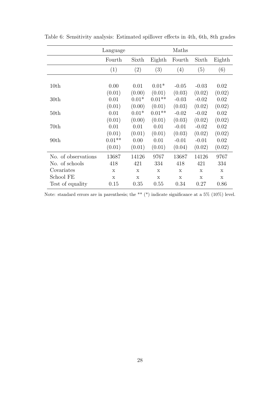|                     | Language |         |          | Maths       |         |        |
|---------------------|----------|---------|----------|-------------|---------|--------|
|                     | Fourth   | Sixth   | Eighth   | Fourth      | Sixth   | Eighth |
|                     | (1)      | (2)     | (3)      | (4)         | (5)     | (6)    |
|                     |          |         |          |             |         |        |
| 10th                | 0.00     | 0.01    | $0.01*$  | $-0.05$     | $-0.03$ | 0.02   |
|                     | (0.01)   | (0.00)  | (0.01)   | (0.03)      | (0.02)  | (0.02) |
| 30 <sub>th</sub>    | 0.01     | $0.01*$ | $0.01**$ | $-0.03$     | $-0.02$ | 0.02   |
|                     | (0.01)   | (0.00)  | (0.01)   | (0.03)      | (0.02)  | (0.02) |
| 50 <sub>th</sub>    | 0.01     | $0.01*$ | $0.01**$ | $-0.02$     | $-0.02$ | 0.02   |
|                     | (0.01)   | (0.00)  | (0.01)   | (0.03)      | (0.02)  | (0.02) |
| 70th                | 0.01     | 0.01    | 0.01     | $-0.01$     | $-0.02$ | 0.02   |
|                     | (0.01)   | (0.01)  | (0.01)   | (0.03)      | (0.02)  | (0.02) |
| 90 <sub>th</sub>    | $0.01**$ | 0.00    | 0.01     | $-0.01$     | $-0.01$ | 0.02   |
|                     | (0.01)   | (0.01)  | (0.01)   | (0.04)      | (0.02)  | (0.02) |
| No. of observations | 13687    | 14126   | 9767     | 13687       | 14126   | 9767   |
| No. of schools      | 418      | 421     | 334      | 418         | 421     | 334    |
| Covariates          | X        | X       | X        | X           | X       | X      |
| School FE           | X        | X       | X        | $\mathbf x$ | X       | X      |
| Test of equality    | 0.15     | 0.35    | 0.55     | 0.34        | 0.27    | 0.86   |

Table 6: Sensitivity analysis: Estimated spillover effects in 4th, 6th, 8th grades

Note: standard errors are in parenthesis; the \*\* (\*) indicate significance at a 5% (10%) level.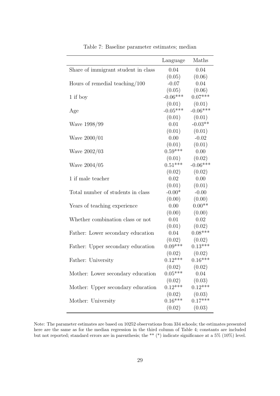| Share of immigrant student in class<br>0.04<br>0.04<br>(0.05)<br>(0.06)<br>$-0.07$<br>0.04<br>Hours of remedial teaching/100<br>(0.05)<br>(0.06)<br>$-0.06***$<br>$0.07***$<br>1 if boy<br>(0.01)<br>(0.01)<br>$-0.05***$<br>$-0.06***$<br>Age<br>(0.01)<br>(0.01)<br>$-0.03**$<br>0.01<br>Wave 1998/99<br>(0.01)<br>(0.01)<br>0.00<br>$-0.02$<br>Wave $2000/01$<br>(0.01)<br>(0.01)<br>$0.59***$<br>0.00<br>Wave 2002/03<br>(0.01)<br>(0.02)<br>$0.51***$<br>$-0.06***$<br>Wave $2004/05$<br>(0.02)<br>(0.02)<br>1 if male teacher<br>0.02<br>0.00<br>(0.01)<br>(0.01)<br>$-0.00*$<br>$-0.00$<br>Total number of students in class<br>(0.00)<br>(0.00)<br>$0.00**$<br>0.00<br>Years of teaching experience<br>(0.00)<br>(0.00)<br>0.01<br>0.02<br>Whether combination class or not<br>(0.01)<br>(0.02)<br>$0.08***$<br>0.04<br>Father: Lower secondary education<br>(0.02)<br>(0.02)<br>$0.09***$<br>$0.13***$<br>Father: Upper secondary education<br>(0.02)<br>(0.02)<br>$0.12***$<br>$0.16***$<br>Father: University<br>(0.02)<br>(0.02)<br>$0.05***$<br>0.04<br>Mother: Lower secondary education<br>(0.02)<br>(0.03)<br>$0.12***$<br>$0.12***$<br>Mother: Upper secondary education<br>(0.02)<br>(0.03)<br>$0.16***$<br>$0.17***$<br>Mother: University | Language | Maths  |
|---------------------------------------------------------------------------------------------------------------------------------------------------------------------------------------------------------------------------------------------------------------------------------------------------------------------------------------------------------------------------------------------------------------------------------------------------------------------------------------------------------------------------------------------------------------------------------------------------------------------------------------------------------------------------------------------------------------------------------------------------------------------------------------------------------------------------------------------------------------------------------------------------------------------------------------------------------------------------------------------------------------------------------------------------------------------------------------------------------------------------------------------------------------------------------------------------------------------------------------------------------------|----------|--------|
|                                                                                                                                                                                                                                                                                                                                                                                                                                                                                                                                                                                                                                                                                                                                                                                                                                                                                                                                                                                                                                                                                                                                                                                                                                                               |          |        |
|                                                                                                                                                                                                                                                                                                                                                                                                                                                                                                                                                                                                                                                                                                                                                                                                                                                                                                                                                                                                                                                                                                                                                                                                                                                               |          |        |
|                                                                                                                                                                                                                                                                                                                                                                                                                                                                                                                                                                                                                                                                                                                                                                                                                                                                                                                                                                                                                                                                                                                                                                                                                                                               |          |        |
|                                                                                                                                                                                                                                                                                                                                                                                                                                                                                                                                                                                                                                                                                                                                                                                                                                                                                                                                                                                                                                                                                                                                                                                                                                                               |          |        |
|                                                                                                                                                                                                                                                                                                                                                                                                                                                                                                                                                                                                                                                                                                                                                                                                                                                                                                                                                                                                                                                                                                                                                                                                                                                               |          |        |
|                                                                                                                                                                                                                                                                                                                                                                                                                                                                                                                                                                                                                                                                                                                                                                                                                                                                                                                                                                                                                                                                                                                                                                                                                                                               |          |        |
|                                                                                                                                                                                                                                                                                                                                                                                                                                                                                                                                                                                                                                                                                                                                                                                                                                                                                                                                                                                                                                                                                                                                                                                                                                                               |          |        |
|                                                                                                                                                                                                                                                                                                                                                                                                                                                                                                                                                                                                                                                                                                                                                                                                                                                                                                                                                                                                                                                                                                                                                                                                                                                               |          |        |
|                                                                                                                                                                                                                                                                                                                                                                                                                                                                                                                                                                                                                                                                                                                                                                                                                                                                                                                                                                                                                                                                                                                                                                                                                                                               |          |        |
|                                                                                                                                                                                                                                                                                                                                                                                                                                                                                                                                                                                                                                                                                                                                                                                                                                                                                                                                                                                                                                                                                                                                                                                                                                                               |          |        |
|                                                                                                                                                                                                                                                                                                                                                                                                                                                                                                                                                                                                                                                                                                                                                                                                                                                                                                                                                                                                                                                                                                                                                                                                                                                               |          |        |
|                                                                                                                                                                                                                                                                                                                                                                                                                                                                                                                                                                                                                                                                                                                                                                                                                                                                                                                                                                                                                                                                                                                                                                                                                                                               |          |        |
|                                                                                                                                                                                                                                                                                                                                                                                                                                                                                                                                                                                                                                                                                                                                                                                                                                                                                                                                                                                                                                                                                                                                                                                                                                                               |          |        |
|                                                                                                                                                                                                                                                                                                                                                                                                                                                                                                                                                                                                                                                                                                                                                                                                                                                                                                                                                                                                                                                                                                                                                                                                                                                               |          |        |
|                                                                                                                                                                                                                                                                                                                                                                                                                                                                                                                                                                                                                                                                                                                                                                                                                                                                                                                                                                                                                                                                                                                                                                                                                                                               |          |        |
|                                                                                                                                                                                                                                                                                                                                                                                                                                                                                                                                                                                                                                                                                                                                                                                                                                                                                                                                                                                                                                                                                                                                                                                                                                                               |          |        |
|                                                                                                                                                                                                                                                                                                                                                                                                                                                                                                                                                                                                                                                                                                                                                                                                                                                                                                                                                                                                                                                                                                                                                                                                                                                               |          |        |
|                                                                                                                                                                                                                                                                                                                                                                                                                                                                                                                                                                                                                                                                                                                                                                                                                                                                                                                                                                                                                                                                                                                                                                                                                                                               |          |        |
|                                                                                                                                                                                                                                                                                                                                                                                                                                                                                                                                                                                                                                                                                                                                                                                                                                                                                                                                                                                                                                                                                                                                                                                                                                                               |          |        |
|                                                                                                                                                                                                                                                                                                                                                                                                                                                                                                                                                                                                                                                                                                                                                                                                                                                                                                                                                                                                                                                                                                                                                                                                                                                               |          |        |
|                                                                                                                                                                                                                                                                                                                                                                                                                                                                                                                                                                                                                                                                                                                                                                                                                                                                                                                                                                                                                                                                                                                                                                                                                                                               |          |        |
|                                                                                                                                                                                                                                                                                                                                                                                                                                                                                                                                                                                                                                                                                                                                                                                                                                                                                                                                                                                                                                                                                                                                                                                                                                                               |          |        |
|                                                                                                                                                                                                                                                                                                                                                                                                                                                                                                                                                                                                                                                                                                                                                                                                                                                                                                                                                                                                                                                                                                                                                                                                                                                               |          |        |
|                                                                                                                                                                                                                                                                                                                                                                                                                                                                                                                                                                                                                                                                                                                                                                                                                                                                                                                                                                                                                                                                                                                                                                                                                                                               |          |        |
|                                                                                                                                                                                                                                                                                                                                                                                                                                                                                                                                                                                                                                                                                                                                                                                                                                                                                                                                                                                                                                                                                                                                                                                                                                                               |          |        |
|                                                                                                                                                                                                                                                                                                                                                                                                                                                                                                                                                                                                                                                                                                                                                                                                                                                                                                                                                                                                                                                                                                                                                                                                                                                               |          |        |
|                                                                                                                                                                                                                                                                                                                                                                                                                                                                                                                                                                                                                                                                                                                                                                                                                                                                                                                                                                                                                                                                                                                                                                                                                                                               |          |        |
|                                                                                                                                                                                                                                                                                                                                                                                                                                                                                                                                                                                                                                                                                                                                                                                                                                                                                                                                                                                                                                                                                                                                                                                                                                                               |          |        |
|                                                                                                                                                                                                                                                                                                                                                                                                                                                                                                                                                                                                                                                                                                                                                                                                                                                                                                                                                                                                                                                                                                                                                                                                                                                               |          |        |
|                                                                                                                                                                                                                                                                                                                                                                                                                                                                                                                                                                                                                                                                                                                                                                                                                                                                                                                                                                                                                                                                                                                                                                                                                                                               |          |        |
|                                                                                                                                                                                                                                                                                                                                                                                                                                                                                                                                                                                                                                                                                                                                                                                                                                                                                                                                                                                                                                                                                                                                                                                                                                                               |          |        |
|                                                                                                                                                                                                                                                                                                                                                                                                                                                                                                                                                                                                                                                                                                                                                                                                                                                                                                                                                                                                                                                                                                                                                                                                                                                               |          |        |
|                                                                                                                                                                                                                                                                                                                                                                                                                                                                                                                                                                                                                                                                                                                                                                                                                                                                                                                                                                                                                                                                                                                                                                                                                                                               |          |        |
|                                                                                                                                                                                                                                                                                                                                                                                                                                                                                                                                                                                                                                                                                                                                                                                                                                                                                                                                                                                                                                                                                                                                                                                                                                                               |          |        |
|                                                                                                                                                                                                                                                                                                                                                                                                                                                                                                                                                                                                                                                                                                                                                                                                                                                                                                                                                                                                                                                                                                                                                                                                                                                               | (0.02)   | (0.03) |

Table 7: Baseline parameter estimates; median

Note: The parameter estimates are based on 10252 observations from 334 schools; the estimates presented here are the same as for the median regression in the third column of Table 4; constants are included but not reported; standard errors are in parenthesis; the \*\* (\*) indicate significance at a 5% (10%) level.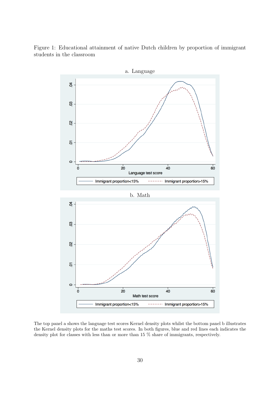Figure 1: Educational attainment of native Dutch children by proportion of immigrant students in the classroom



The top panel a shows the language test scores Kernel density plots whilst the bottom panel b illustrates the Kernel density plots for the maths test scores. In both figures, blue and red lines each indicates the density plot for classes with less than or more than 15 % share of immigrants, respectively.